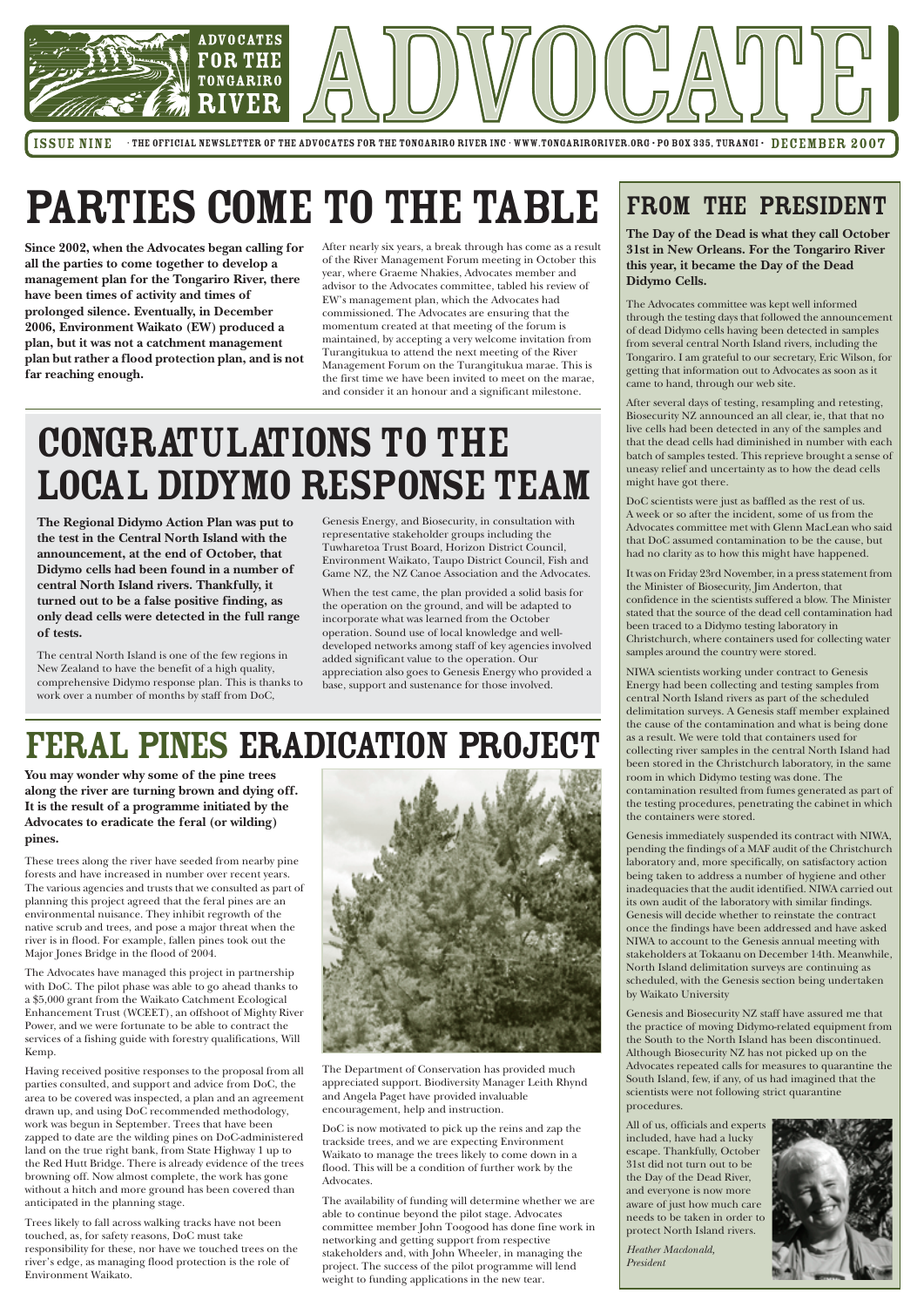

ISSUE NINE · THE OFFICIAL NEWSLETTER OF THE ADVOCATES FOR THE TONGARIRO RIVER INC · WWW.TONGARIRORIVER.ORG · PO BOX 335, TURANGI · DECEMBER 2007

#### FROM THE PRESIDENT

**The Day of the Dead is what they call October 31st in New Orleans. For the Tongariro River this year, it became the Day of the Dead Didymo Cells.**

The Advocates committee was kept well informed through the testing days that followed the announcement of dead Didymo cells having been detected in samples from several central North Island rivers, including the Tongariro. I am grateful to our secretary, Eric Wilson, for getting that information out to Advocates as soon as it came to hand, through our web site.

After several days of testing, resampling and retesting, Biosecurity NZ announced an all clear, ie, that that no live cells had been detected in any of the samples and that the dead cells had diminished in number with each batch of samples tested. This reprieve brought a sense of uneasy relief and uncertainty as to how the dead cells might have got there.

DoC scientists were just as baffled as the rest of us. A week or so after the incident, some of us from the Advocates committee met with Glenn MacLean who said that DoC assumed contamination to be the cause, but had no clarity as to how this might have happened.

It was on Friday 23rd November, in a press statement from the Minister of Biosecurity, Jim Anderton, that confidence in the scientists suffered a blow. The Minister stated that the source of the dead cell contamination had been traced to a Didymo testing laboratory in Christchurch, where containers used for collecting water samples around the country were stored.

NIWA scientists working under contract to Genesis Energy had been collecting and testing samples from central North Island rivers as part of the scheduled delimitation surveys. A Genesis staff member explained the cause of the contamination and what is being done as a result. We were told that containers used for collecting river samples in the central North Island had been stored in the Christchurch laboratory, in the same room in which Didymo testing was done. The contamination resulted from fumes generated as part of the testing procedures, penetrating the cabinet in which the containers were stored.

Genesis immediately suspended its contract with NIWA, pending the findings of a MAF audit of the Christchurch laboratory and, more specifically, on satisfactory action being taken to address a number of hygiene and other inadequacies that the audit identified. NIWA carried out its own audit of the laboratory with similar findings. Genesis will decide whether to reinstate the contract once the findings have been addressed and have asked NIWA to account to the Genesis annual meeting with stakeholders at Tokaanu on December 14th. Meanwhile, North Island delimitation surveys are continuing as scheduled, with the Genesis section being undertaken

#### by Waikato University

Genesis and Biosecurity NZ staff have assured me that the practice of moving Didymo-related equipment from the South to the North Island has been discontinued. Although Biosecurity NZ has not picked up on the Advocates repeated calls for measures to quarantine the South Island, few, if any, of us had imagined that the scientists were not following strict quarantine procedures.

All of us, officials and experts included, have had a lucky escape. Thankfully, October 31st did not turn out to be the Day of the Dead River, and everyone is now more aware of just how much care needs to be taken in order to protect North Island rivers.

# CONGRATULATIONS TO THE Local Didymo Response Team

*Heather Macdonald, President*



**Since 2002, when the Advocates began calling for all the parties to come together to develop a management plan for the Tongariro River, there have been times of activity and times of prolonged silence. Eventually, in December 2006, Environment Waikato (EW) produced a plan, but it was not a catchment management plan but rather a flood protection plan, and is not far reaching enough.**

**The Regional Didymo Action Plan was put to the test in the Central North Island with the announcement, at the end of October, that Didymo cells had been found in a number of central North Island rivers. Thankfully, it turned out to be a false positive finding, as only dead cells were detected in the full range of tests.**

The central North Island is one of the few regions in New Zealand to have the benefit of a high quality, comprehensive Didymo response plan. This is thanks to work over a number of months by staff from DoC,

**You may wonder why some of the pine trees along the river are turning brown and dying off. It is the result of a programme initiated by the Advocates to eradicate the feral (or wilding) pines.**

These trees along the river have seeded from nearby pine forests and have increased in number over recent years. The various agencies and trusts that we consulted as part of planning this project agreed that the feral pines are an environmental nuisance. They inhibit regrowth of the native scrub and trees, and pose a major threat when the river is in flood. For example, fallen pines took out the Major Jones Bridge in the flood of 2004.

The Advocates have managed this project in partnership with DoC. The pilot phase was able to go ahead thanks to a \$5,000 grant from the Waikato Catchment Ecological Enhancement Trust (WCEET), an offshoot of Mighty River Power, and we were fortunate to be able to contract the services of a fishing guide with forestry qualifications, Will Kemp.



Having received positive responses to the proposal from all parties consulted, and support and advice from DoC, the area to be covered was inspected, a plan and an agreement drawn up, and using DoC recommended methodology, work was begun in September. Trees that have been zapped to date are the wilding pines on DoC-administered land on the true right bank, from State Highway 1 up to the Red Hutt Bridge. There is already evidence of the trees browning off. Now almost complete, the work has gone without a hitch and more ground has been covered than anticipated in the planning stage.

Trees likely to fall across walking tracks have not been touched, as, for safety reasons, DoC must take responsibility for these, nor have we touched trees on the river's edge, as managing flood protection is the role of Environment Waikato.

# PARTIES COME TO THE TABLE

After nearly six years, a break through has come as a result of the River Management Forum meeting in October this year, where Graeme Nhakies, Advocates member and advisor to the Advocates committee, tabled his review of EW's management plan, which the Advocates had commissioned. The Advocates are ensuring that the momentum created at that meeting of the forum is maintained, by accepting a very welcome invitation from Turangitukua to attend the next meeting of the River Management Forum on the Turangitukua marae. This is the first time we have been invited to meet on the marae, and consider it an honour and a significant milestone.

Genesis Energy, and Biosecurity, in consultation with representative stakeholder groups including the Tuwharetoa Trust Board, Horizon District Council, Environment Waikato, Taupo District Council, Fish and Game NZ, the NZ Canoe Association and the Advocates.

When the test came, the plan provided a solid basis for the operation on the ground, and will be adapted to incorporate what was learned from the October operation. Sound use of local knowledge and welldeveloped networks among staff of key agencies involved added significant value to the operation. Our appreciation also goes to Genesis Energy who provided a base, support and sustenance for those involved.

## Feral Pines Eradication Project

The Department of Conservation has provided much appreciated support. Biodiversity Manager Leith Rhynd and Angela Paget have provided invaluable encouragement, help and instruction.

DoC is now motivated to pick up the reins and zap the trackside trees, and we are expecting Environment Waikato to manage the trees likely to come down in a flood. This will be a condition of further work by the Advocates.

The availability of funding will determine whether we are able to continue beyond the pilot stage. Advocates committee member John Toogood has done fine work in networking and getting support from respective stakeholders and, with John Wheeler, in managing the project. The success of the pilot programme will lend weight to funding applications in the new tear.